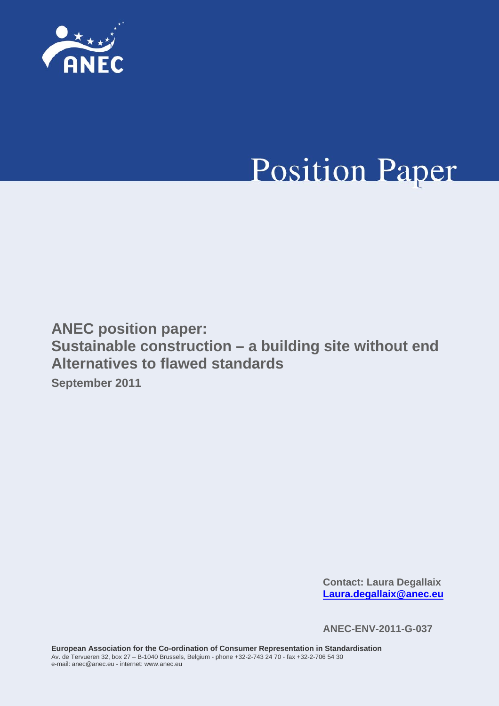

# **Position Paper**

**ANEC position paper: Sustainable construction – a building site without end Alternatives to flawed standards September 2011** 

> **Contact: Laura Degallaix [Laura.degallaix@anec.eu](mailto:Laura.degallaix@anec.eu)**

**ANEC-ENV-2011-G-037**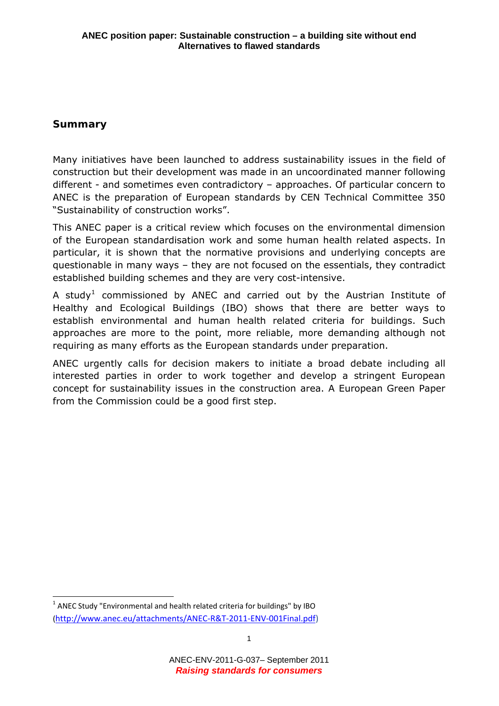# **Summary**

Many initiatives have been launched to address sustainability issues in the field of construction but their development was made in an uncoordinated manner following different - and sometimes even contradictory – approaches. Of particular concern to ANEC is the preparation of European standards by CEN Technical Committee 350 "Sustainability of construction works".

This ANEC paper is a critical review which focuses on the environmental dimension of the European standardisation work and some human health related aspects. In particular, it is shown that the normative provisions and underlying concepts are questionable in many ways – they are not focused on the essentials, they contradict established building schemes and they are very cost-intensive.

requiring as many efforts as the European standards under preparation. A study<sup>[1](#page-1-0)</sup> commissioned by ANEC and carried out by the Austrian Institute of Healthy and Ecological Buildings (IBO) shows that there are better ways to establish environmental and human health related criteria for buildings. Such approaches are more to the point, more reliable, more demanding although not

ANEC urgently calls for decision makers to initiate a broad debate including all interested parties in order to work together and develop a stringent European concept for sustainability issues in the construction area. A European Green Paper from the Commission could be a good first step.

<span id="page-1-0"></span> $<sup>1</sup>$  ANEC Study "Environmental and health related criteria for buildings" by IBO</sup> [\(http://www.anec.eu/attachments/ANEC](http://www.anec.eu/attachments/ANEC-R&T-2011-ENV-001Final.pdf)‐R&T‐2011‐ENV‐001Final.pdf)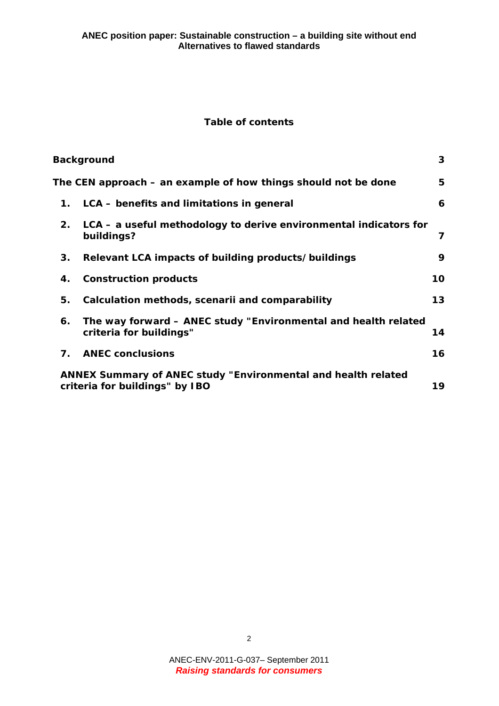#### **Table of contents**

|                                                                                                        | <b>Background</b>                                                                         | $\mathbf{3}$    |
|--------------------------------------------------------------------------------------------------------|-------------------------------------------------------------------------------------------|-----------------|
| The CEN approach – an example of how things should not be done                                         |                                                                                           | 5               |
| 1.                                                                                                     | LCA – benefits and limitations in general                                                 | 6               |
| 2.                                                                                                     | LCA – a useful methodology to derive environmental indicators for<br>buildings?           | 7               |
| 3.                                                                                                     | Relevant LCA impacts of building products/buildings                                       | 9               |
| 4.                                                                                                     | <b>Construction products</b>                                                              | 10              |
| 5.                                                                                                     | Calculation methods, scenarii and comparability                                           | 13 <sup>°</sup> |
| 6.                                                                                                     | The way forward - ANEC study "Environmental and health related<br>criteria for buildings" | 14              |
| 7.                                                                                                     | <b>ANEC conclusions</b>                                                                   | 16              |
| <b>ANNEX Summary of ANEC study "Environmental and health related</b><br>criteria for buildings" by IBO |                                                                                           | 19              |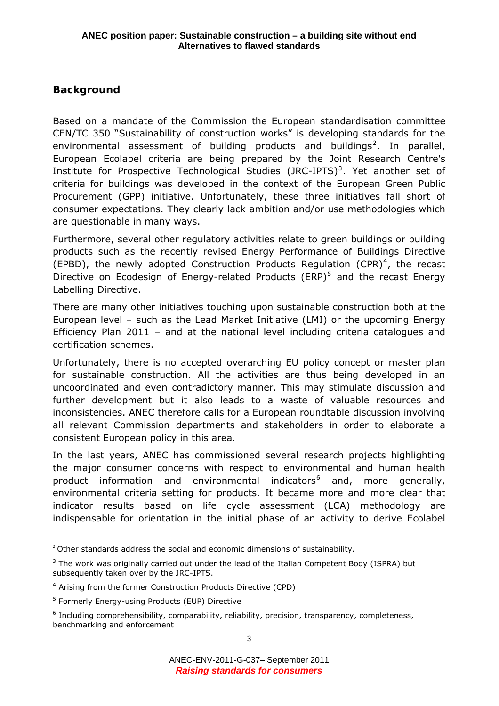# <span id="page-3-0"></span>**Background**

are questionable in many ways. Based on a mandate of the Commission the European standardisation committee CEN/TC 350 "Sustainability of construction works" is developing standards for the environmental assessment of building products and buildings<sup>[2](#page-3-1)</sup>. In parallel, European Ecolabel criteria are being prepared by the Joint Research Centre's Institute for Prospective Technological Studies (JRC-IPTS)<sup>[3](#page-3-2)</sup>. Yet another set of criteria for buildings was developed in the context of the European Green Public Procurement (GPP) initiative. Unfortunately, these three initiatives fall short of consumer expectations. They clearly lack ambition and/or use methodologies which

Furthermore, several other regulatory activities relate to green buildings or building products such as the recently revised Energy Performance of Buildings Directive (EPBD), the newly adopted Construction Products Regulation (CPR)<sup>[4](#page-3-3)</sup>, the recast Directive on Ecodesign of Energy-related Products (ERP)<sup>[5](#page-3-4)</sup> and the recast Energy Labelling Directive.

There are many other initiatives touching upon sustainable construction both at the European level – such as the Lead Market Initiative (LMI) or the upcoming Energy Efficiency Plan 2011 – and at the national level including criteria catalogues and certification schemes.

Unfortunately, there is no accepted overarching EU policy concept or master plan for sustainable construction. All the activities are thus being developed in an uncoordinated and even contradictory manner. This may stimulate discussion and further development but it also leads to a waste of valuable resources and inconsistencies. ANEC therefore calls for a European roundtable discussion involving all relevant Commission departments and stakeholders in order to elaborate a consistent European policy in this area.

In the last years, ANEC has commissioned several research projects highlighting the major consumer concerns with respect to environmental and human health product information and environmental indicators<sup>[6](#page-3-5)</sup> and, more generally, environmental criteria setting for products. It became more and more clear that indicator results based on life cycle assessment (LCA) methodology are indispensable for orientation in the initial phase of an activity to derive Ecolabel

<span id="page-3-1"></span>  $2$  Other standards address the social and economic dimensions of sustainability.

<span id="page-3-2"></span> $3$  The work was originally carried out under the lead of the Italian Competent Body (ISPRA) but subsequently taken over by the JRC-IPTS.

<span id="page-3-3"></span><sup>&</sup>lt;sup>4</sup> Arising from the former Construction Products Directive (CPD)

<span id="page-3-4"></span><sup>&</sup>lt;sup>5</sup> Formerly Energy-using Products (EUP) Directive

<span id="page-3-5"></span><sup>&</sup>lt;sup>6</sup> Including comprehensibility, comparability, reliability, precision, transparency, completeness, benchmarking and enforcement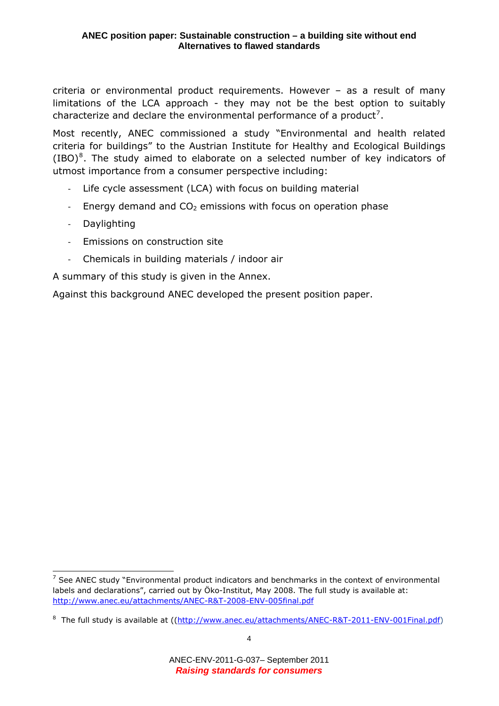criteria or environmental product requirements. However – as a result of many limitations of the LCA approach - they may not be the best option to suitably characterize and declare the environmental performance of a product<sup>[7](#page-4-0)</sup>.

Most recently, ANEC commissioned a study "Environmental and health related criteria for buildings" to the Austrian Institute for Healthy and Ecological Buildings  $(IBO)^8$  $(IBO)^8$ . The study aimed to elaborate on a selected number of key indicators of utmost importance from a consumer perspective including:

- ‐ Life cycle assessment (LCA) with focus on building material
- Energy demand and  $CO<sub>2</sub>$  emissions with focus on operation phase
- ‐ Daylighting

- ‐ Emissions on construction site
- ‐ Chemicals in building materials / indoor air

A summary of this study is given in the Annex.

Against this background ANEC developed the present position paper.

<span id="page-4-0"></span> $<sup>7</sup>$  See ANEC study "Environmental product indicators and benchmarks in the context of environmental</sup> labels and declarations", carried out by Öko-Institut, May 2008. The full study is available at: <http://www.anec.eu/attachments/ANEC-R&T-2008-ENV-005final.pdf>

<span id="page-4-1"></span><sup>&</sup>lt;sup>8</sup> The full study is available at (([http://www.anec.eu/attachments/ANEC-R&T-2011-ENV-001Final.pdf\)](http://www.anec.eu/attachments/ANEC-R&T-2011-ENV-001Final.pdf)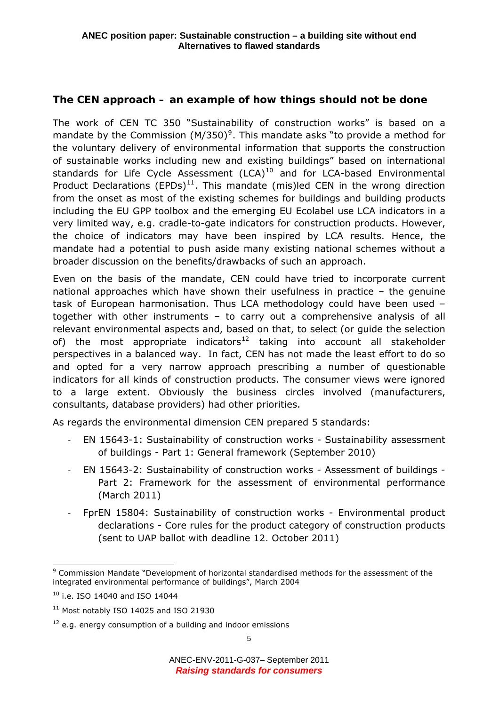# <span id="page-5-0"></span>**The CEN approach – an example of how things should not be done**

The work of CEN TC 350 "Sustainability of construction works" is based on a mandate by the Commission (M/350)<sup>[9](#page-5-1)</sup>. This mandate asks "to provide a method for the voluntary delivery of environmental information that supports the construction of sustainable works including new and existing buildings" based on international standards for Life Cycle Assessment  $(LCA)^{10}$  $(LCA)^{10}$  $(LCA)^{10}$  and for LCA-based Environmental Product Declarations  $(EPDs)^{11}$  $(EPDs)^{11}$  $(EPDs)^{11}$ . This mandate (mis)led CEN in the wrong direction from the onset as most of the existing schemes for buildings and building products including the EU GPP toolbox and the emerging EU Ecolabel use LCA indicators in a very limited way, e.g. cradle-to-gate indicators for construction products. However, the choice of indicators may have been inspired by LCA results. Hence, the mandate had a potential to push aside many existing national schemes without a broader discussion on the benefits/drawbacks of such an approach.

Even on the basis of the mandate, CEN could have tried to incorporate current national approaches which have shown their usefulness in practice – the genuine task of European harmonisation. Thus LCA methodology could have been used – together with other instruments – to carry out a comprehensive analysis of all relevant environmental aspects and, based on that, to select (or guide the selection of) the most appropriate indicators<sup>[12](#page-5-4)</sup> taking into account all stakeholder perspectives in a balanced way. In fact, CEN has not made the least effort to do so and opted for a very narrow approach prescribing a number of questionable indicators for all kinds of construction products. The consumer views were ignored to a large extent. Obviously the business circles involved (manufacturers, consultants, database providers) had other priorities.

As regards the environmental dimension CEN prepared 5 standards:

- ‐ EN 15643-1: Sustainability of construction works Sustainability assessment of buildings - Part 1: General framework (September 2010)
- ‐ EN 15643-2: Sustainability of construction works Assessment of buildings Part 2: Framework for the assessment of environmental performance (March 2011)
- FprEN 15804: Sustainability of construction works Environmental product declarations - Core rules for the product category of construction products (sent to UAP ballot with deadline 12. October 2011)

<span id="page-5-1"></span> <sup>9</sup> Commission Mandate "Development of horizontal standardised methods for the assessment of the integrated environmental performance of buildings", March 2004

<span id="page-5-2"></span> $10$  i.e. ISO 14040 and ISO 14044

<span id="page-5-3"></span><sup>&</sup>lt;sup>11</sup> Most notably ISO 14025 and ISO 21930

<span id="page-5-4"></span> $12$  e.g. energy consumption of a building and indoor emissions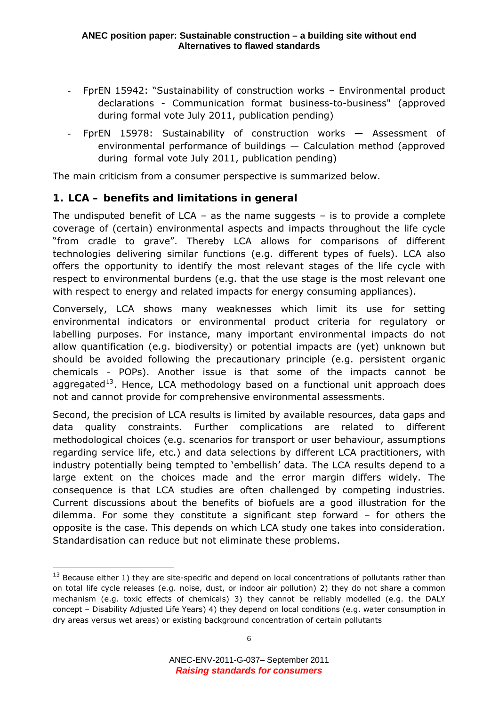- <span id="page-6-0"></span>‐ FprEN 15942: "Sustainability of construction works – Environmental product declarations - Communication format business-to-business" (approved during formal vote July 2011, publication pending)
- ‐ FprEN 15978: Sustainability of construction works Assessment of environmental performance of buildings — Calculation method (approved during formal vote July 2011, publication pending)

The main criticism from a consumer perspective is summarized below.

# *1. LCA – benefits and limitations in general*

The undisputed benefit of LCA – as the name suggests – is to provide a complete coverage of (certain) environmental aspects and impacts throughout the life cycle "from cradle to grave". Thereby LCA allows for comparisons of different technologies delivering similar functions (e.g. different types of fuels). LCA also offers the opportunity to identify the most relevant stages of the life cycle with respect to environmental burdens (e.g. that the use stage is the most relevant one with respect to energy and related impacts for energy consuming appliances).

Conversely, LCA shows many weaknesses which limit its use for setting environmental indicators or environmental product criteria for regulatory or labelling purposes. For instance, many important environmental impacts do not allow quantification (e.g. biodiversity) or potential impacts are (yet) unknown but should be avoided following the precautionary principle (e.g. persistent organic chemicals - POPs). Another issue is that some of the impacts cannot be aggregated<sup>[13](#page-6-1)</sup>. Hence, LCA methodology based on a functional unit approach does not and cannot provide for comprehensive environmental assessments.

Second, the precision of LCA results is limited by available resources, data gaps and data quality constraints. Further complications are related to different methodological choices (e.g. scenarios for transport or user behaviour, assumptions regarding service life, etc.) and data selections by different LCA practitioners, with industry potentially being tempted to 'embellish' data. The LCA results depend to a large extent on the choices made and the error margin differs widely. The consequence is that LCA studies are often challenged by competing industries. Current discussions about the benefits of biofuels are a good illustration for the dilemma. For some they constitute a significant step forward – for others the opposite is the case. This depends on which LCA study one takes into consideration. Standardisation can reduce but not eliminate these problems.

<span id="page-6-1"></span> $13$  Because either 1) they are site-specific and depend on local concentrations of pollutants rather than on total life cycle releases (e.g. noise, dust, or indoor air pollution) 2) they do not share a common mechanism (e.g. toxic effects of chemicals) 3) they cannot be reliably modelled (e.g. the DALY concept – Disability Adjusted Life Years) 4) they depend on local conditions (e.g. water consumption in dry areas versus wet areas) or existing background concentration of certain pollutants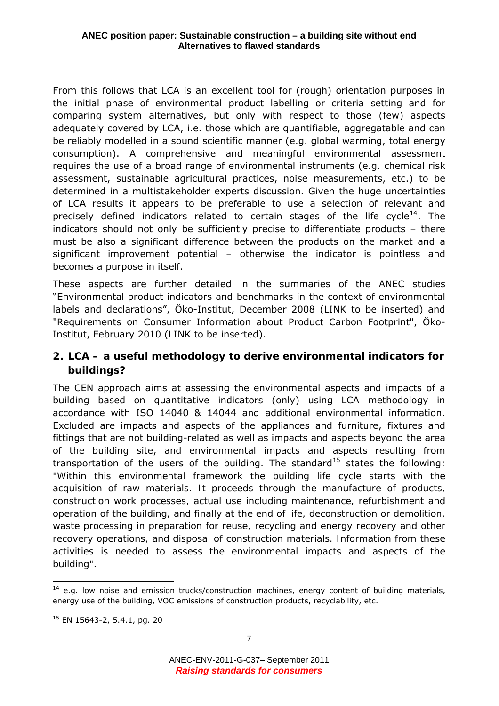<span id="page-7-0"></span>From this follows that LCA is an excellent tool for (rough) orientation purposes in the initial phase of environmental product labelling or criteria setting and for comparing system alternatives, but only with respect to those (few) aspects adequately covered by LCA, i.e. those which are quantifiable, aggregatable and can be reliably modelled in a sound scientific manner (e.g. global warming, total energy consumption). A comprehensive and meaningful environmental assessment requires the use of a broad range of environmental instruments (e.g. chemical risk assessment, sustainable agricultural practices, noise measurements, etc.) to be determined in a multistakeholder experts discussion. Given the huge uncertainties of LCA results it appears to be preferable to use a selection of relevant and precisely defined indicators related to certain stages of the life cycle<sup>[14](#page-7-1)</sup>. The indicators should not only be sufficiently precise to differentiate products – there must be also a significant difference between the products on the market and a significant improvement potential – otherwise the indicator is pointless and becomes a purpose in itself.

These aspects are further detailed in the summaries of the ANEC studies "Environmental product indicators and benchmarks in the context of environmental labels and declarations", Öko-Institut, December 2008 (LINK to be inserted) and "Requirements on Consumer Information about Product Carbon Footprint", Öko-Institut, February 2010 (LINK to be inserted).

# *2. LCA – a useful methodology to derive environmental indicators for buildings?*

The CEN approach aims at assessing the environmental aspects and impacts of a building based on quantitative indicators (only) using LCA methodology in accordance with ISO 14040 & 14044 and additional environmental information. Excluded are impacts and aspects of the appliances and furniture, fixtures and fittings that are not building-related as well as impacts and aspects beyond the area of the building site, and environmental impacts and aspects resulting from transportation of the users of the building. The standard<sup>[15](#page-7-2)</sup> states the following: *"Within this environmental framework the building life cycle starts with the acquisition of raw materials. It proceeds through the manufacture of products, construction work processes, actual use including maintenance, refurbishment and operation of the building, and finally at the end of life, deconstruction or demolition, waste processing in preparation for reuse, recycling and energy recovery and other recovery operations, and disposal of construction materials. Information from these activities is needed to assess the environmental impacts and aspects of the building"*.

<span id="page-7-1"></span> $\overline{a}$ <sup>14</sup> e.g. low noise and emission trucks/construction machines, energy content of building materials, energy use of the building, VOC emissions of construction products, recyclability, etc.

<span id="page-7-2"></span><sup>15</sup> EN 15643-2, 5.4.1, pg. 20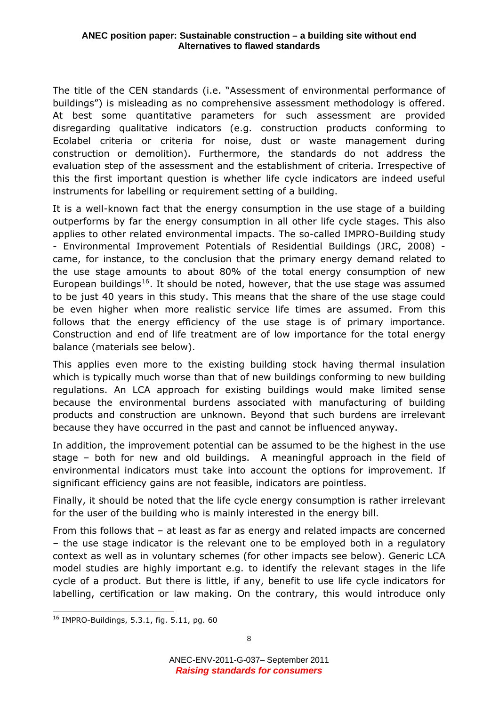The title of the CEN standards (i.e. "Assessment of environmental performance of buildings") is misleading as no comprehensive assessment methodology is offered. At best some quantitative parameters for such assessment are provided disregarding qualitative indicators (e.g. construction products conforming to Ecolabel criteria or criteria for noise, dust or waste management during construction or demolition). Furthermore, the standards do not address the evaluation step of the assessment and the establishment of criteria. Irrespective of this the first important question is whether life cycle indicators are indeed useful instruments for labelling or requirement setting of a building.

It is a well-known fact that the energy consumption in the use stage of a building outperforms by far the energy consumption in all other life cycle stages. This also applies to other related environmental impacts. The so-called IMPRO-Building study - Environmental Improvement Potentials of Residential Buildings (JRC, 2008) came, for instance, to the conclusion that the primary energy demand related to the use stage amounts to about 80% of the total energy consumption of new European buildings<sup>[16](#page-8-0)</sup>. It should be noted, however, that the use stage was assumed to be just 40 years in this study. This means that the share of the use stage could be even higher when more realistic service life times are assumed. From this follows that the energy efficiency of the use stage is of primary importance. Construction and end of life treatment are of low importance for the total energy balance (materials see below).

This applies even more to the existing building stock having thermal insulation which is typically much worse than that of new buildings conforming to new building regulations. An LCA approach for existing buildings would make limited sense because the environmental burdens associated with manufacturing of building products and construction are unknown. Beyond that such burdens are irrelevant because they have occurred in the past and cannot be influenced anyway.

In addition, the improvement potential can be assumed to be the highest in the use stage – both for new and old buildings. A meaningful approach in the field of environmental indicators must take into account the options for improvement. If significant efficiency gains are not feasible, indicators are pointless.

Finally, it should be noted that the life cycle energy consumption is rather irrelevant for the user of the building who is mainly interested in the energy bill.

From this follows that – at least as far as energy and related impacts are concerned – the use stage indicator is the relevant one to be employed both in a regulatory context as well as in voluntary schemes (for other impacts see below). Generic LCA model studies are highly important e.g. to identify the relevant stages in the life cycle of a product. But there is little, if any, benefit to use life cycle indicators for labelling, certification or law making. On the contrary, this would introduce only

 $\overline{a}$ 

<span id="page-8-0"></span><sup>16</sup> IMPRO-Buildings, 5.3.1, fig. 5.11, pg. 60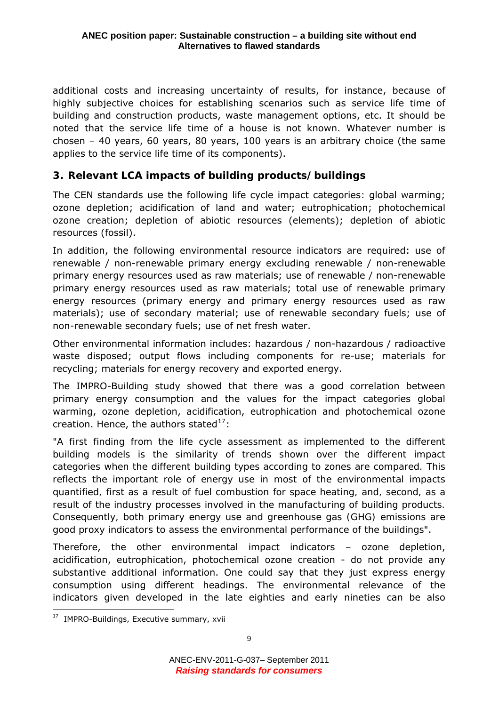<span id="page-9-0"></span>additional costs and increasing uncertainty of results, for instance, because of highly subjective choices for establishing scenarios such as service life time of building and construction products, waste management options, etc. It should be noted that the service life time of a house is not known. Whatever number is chosen – 40 years, 60 years, 80 years, 100 years is an arbitrary choice (the same applies to the service life time of its components).

# *3. Relevant LCA impacts of building products/buildings*

The CEN standards use the following life cycle impact categories: global warming; ozone depletion; acidification of land and water; eutrophication; photochemical ozone creation; depletion of abiotic resources (elements); depletion of abiotic resources (fossil).

In addition, the following environmental resource indicators are required: use of renewable / non-renewable primary energy excluding renewable / non-renewable primary energy resources used as raw materials; use of renewable / non-renewable primary energy resources used as raw materials; total use of renewable primary energy resources (primary energy and primary energy resources used as raw materials); use of secondary material; use of renewable secondary fuels; use of non-renewable secondary fuels; use of net fresh water.

Other environmental information includes: hazardous / non-hazardous / radioactive waste disposed; output flows including components for re-use; materials for recycling; materials for energy recovery and exported energy.

The IMPRO-Building study showed that there was a good correlation between primary energy consumption and the values for the impact categories global warming, ozone depletion, acidification, eutrophication and photochemical ozone creation. Hence, the authors stated $17$ :

*"A first finding from the life cycle assessment as implemented to the different building models is the similarity of trends shown over the different impact categories when the different building types according to zones are compared. This reflects the important role of energy use in most of the environmental impacts quantified, first as a result of fuel combustion for space heating, and, second, as a result of the industry processes involved in the manufacturing of building products. Consequently, both primary energy use and greenhouse gas (GHG) emissions are good proxy indicators to assess the environmental performance of the buildings"*.

Therefore, the other environmental impact indicators – ozone depletion, acidification, eutrophication, photochemical ozone creation - do not provide any substantive additional information. One could say that they just express energy consumption using different headings. The environmental relevance of the indicators given developed in the late eighties and early nineties can be also

<span id="page-9-1"></span><sup>&</sup>lt;sup>17</sup> IMPRO-Buildings, Executive summary, xvii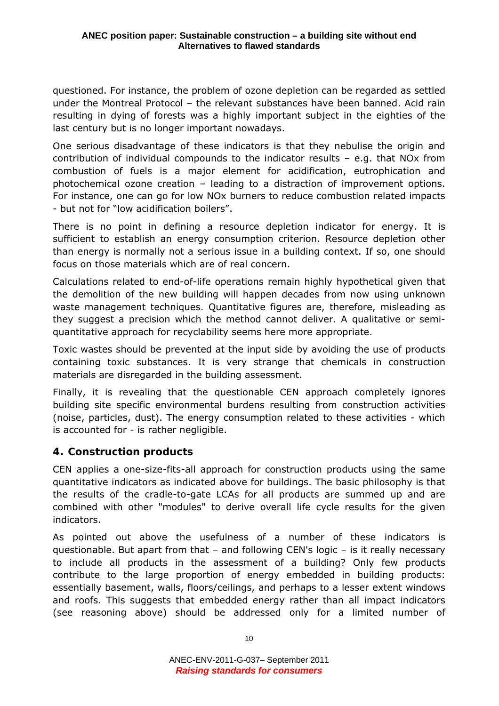<span id="page-10-0"></span>questioned. For instance, the problem of ozone depletion can be regarded as settled under the Montreal Protocol – the relevant substances have been banned. Acid rain resulting in dying of forests was a highly important subject in the eighties of the last century but is no longer important nowadays.

One serious disadvantage of these indicators is that they nebulise the origin and contribution of individual compounds to the indicator results – e.g. that NOx from combustion of fuels is a major element for acidification, eutrophication and photochemical ozone creation – leading to a distraction of improvement options. For instance, one can go for low NOx burners to reduce combustion related impacts - but not for "low acidification boilers".

There is no point in defining a resource depletion indicator for energy. It is sufficient to establish an energy consumption criterion. Resource depletion other than energy is normally not a serious issue in a building context. If so, one should focus on those materials which are of real concern.

Calculations related to end-of-life operations remain highly hypothetical given that the demolition of the new building will happen decades from now using unknown waste management techniques. Quantitative figures are, therefore, misleading as they suggest a precision which the method cannot deliver. A qualitative or semiquantitative approach for recyclability seems here more appropriate.

Toxic wastes should be prevented at the input side by avoiding the use of products containing toxic substances. It is very strange that chemicals in construction materials are disregarded in the building assessment.

Finally, it is revealing that the questionable CEN approach completely ignores building site specific environmental burdens resulting from construction activities (noise, particles, dust). The energy consumption related to these activities - which is accounted for - is rather negligible.

## *4. Construction products*

CEN applies a one-size-fits-all approach for construction products using the same quantitative indicators as indicated above for buildings. The basic philosophy is that the results of the cradle-to-gate LCAs for all products are summed up and are combined with other "modules" to derive overall life cycle results for the given indicators.

As pointed out above the usefulness of a number of these indicators is questionable. But apart from that – and following CEN's logic – is it really necessary to include all products in the assessment of a building? Only few products contribute to the large proportion of energy embedded in building products: essentially basement, walls, floors/ceilings, and perhaps to a lesser extent windows and roofs. This suggests that embedded energy rather than all impact indicators (see reasoning above) should be addressed only for a limited number of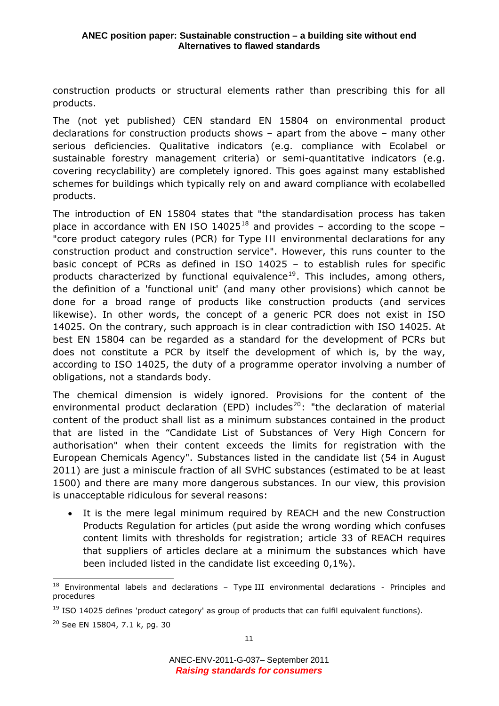construction products or structural elements rather than prescribing this for all products.

The (not yet published) CEN standard EN 15804 on environmental product declarations for construction products shows – apart from the above – many other serious deficiencies. Qualitative indicators (e.g. compliance with Ecolabel or sustainable forestry management criteria) or semi-quantitative indicators (e.g. covering recyclability) are completely ignored. This goes against many established schemes for buildings which typically rely on and award compliance with ecolabelled products.

The introduction of EN 15804 states that *"the standardisation process has taken place in accordance with EN ISO 14025*[18](#page-11-0) and provides – according to the scope – *"core product category rules (PCR) for Type III environmental declarations for any construction product and construction service"*. However, this runs counter to the basic concept of PCRs as defined in ISO 14025 – to establish rules for specific products characterized by functional equivalence<sup>[19](#page-11-1)</sup>. This includes, among others, the definition of a 'functional unit' (and many other provisions) which cannot be done for a broad range of products like construction products (and services likewise). In other words, the concept of a generic PCR does not exist in ISO 14025. On the contrary, such approach is in clear contradiction with ISO 14025. At best EN 15804 can be regarded as a standard for the development of PCRs but does not constitute a PCR by itself the development of which is, by the way, according to ISO 14025, the duty of a programme operator involving a number of obligations, not a standards body.

The chemical dimension is widely ignored. Provisions for the content of the environmental product declaration (EPD) includes<sup>[20](#page-11-2)</sup>: "*the declaration of material content of the product shall list as a minimum substances contained in the product that are listed in the "Candidate List of Substances of Very High Concern for authorisation" when their content exceeds the limits for registration with the European Chemicals Agency*". Substances listed in the candidate list (54 in August 2011) are just a miniscule fraction of all SVHC substances (estimated to be at least 1500) and there are many more dangerous substances. In our view, this provision is unacceptable ridiculous for several reasons:

• It is the mere legal minimum required by REACH and the new Construction Products Regulation for articles (put aside the wrong wording which confuses content limits with thresholds for registration; article 33 of REACH requires that suppliers of articles declare at a minimum the substances which have been included listed in the candidate list exceeding 0,1%).

<span id="page-11-0"></span> $18$  Environmental labels and declarations – Type III environmental declarations - Principles and procedures

<span id="page-11-1"></span> $19$  ISO 14025 defines 'product category' as group of products that can fulfil equivalent functions).

<span id="page-11-2"></span><sup>20</sup> See EN 15804, 7.1 k, pg. 30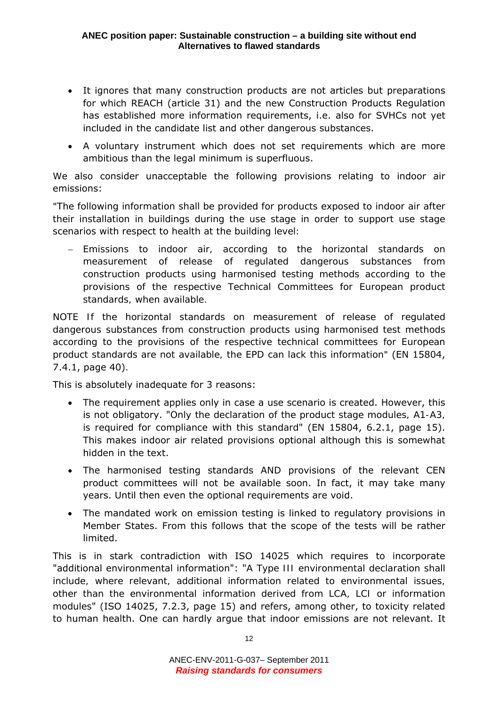- It ignores that many construction products are not articles but preparations for which REACH (article 31) and the new Construction Products Regulation has established more information requirements, i.e. also for SVHCs not yet included in the candidate list and other dangerous substances.
- A voluntary instrument which does not set requirements which are more ambitious than the legal minimum is superfluous.

We also consider unacceptable the following provisions relating to indoor air emissions:

*"The following information shall be provided for products exposed to indoor air after their installation in buildings during the use stage in order to support use stage scenarios with respect to health at the building level:* 

− *Emissions to indoor air, according to the horizontal standards on measurement of release of regulated dangerous substances from construction products using harmonised testing methods according to the provisions of the respective Technical Committees for European product standards, when available.* 

*NOTE If the horizontal standards on measurement of release of regulated dangerous substances from construction products using harmonised test methods according to the provisions of the respective technical committees for European product standards are not available, the EPD can lack this information"* (EN 15804, 7.4.1, page 40)*.* 

This is absolutely inadequate for 3 reasons:

- The requirement applies only in case a use scenario is created. However, this is not obligatory. "*Only the declaration of the product stage modules, A1-A3, is required for compliance with this standard*" (EN 15804, 6.2.1, page 15). This makes indoor air related provisions optional although this is somewhat hidden in the text.
- The harmonised testing standards AND provisions of the relevant CEN product committees will not be available soon. In fact, it may take many years. Until then even the optional requirements are void.
- The mandated work on emission testing is linked to regulatory provisions in Member States. From this follows that the scope of the tests will be rather limited.

This is in stark contradiction with ISO 14025 which requires to incorporate "additional environmental information": "*A Type III environmental declaration shall include, where relevant, additional information related to environmental issues, other than the environmental information derived from LCA, LCI or information modules*" (ISO 14025, 7.2.3, page 15) and refers, among other, to toxicity related to human health. One can hardly argue that indoor emissions are not relevant. It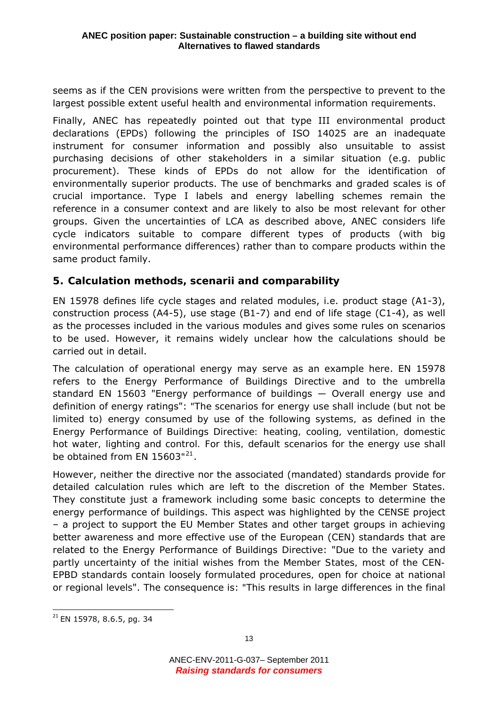<span id="page-13-0"></span>seems as if the CEN provisions were written from the perspective to prevent to the largest possible extent useful health and environmental information requirements.

Finally, ANEC has repeatedly pointed out that type III environmental product declarations (EPDs) following the principles of ISO 14025 are an inadequate instrument for consumer information and possibly also unsuitable to assist purchasing decisions of other stakeholders in a similar situation (e.g. public procurement). These kinds of EPDs do not allow for the identification of environmentally superior products. The use of benchmarks and graded scales is of crucial importance. Type I labels and energy labelling schemes remain the reference in a consumer context and are likely to also be most relevant for other groups. Given the uncertainties of LCA as described above, ANEC considers life cycle indicators suitable to compare different types of products (with big environmental performance differences) rather than to compare products within the same product family.

# *5. Calculation methods, scenarii and comparability*

EN 15978 defines life cycle stages and related modules, i.e. product stage (A1-3), construction process (A4-5), use stage (B1-7) and end of life stage (C1-4), as well as the processes included in the various modules and gives some rules on scenarios to be used. However, it remains widely unclear how the calculations should be carried out in detail.

The calculation of operational energy may serve as an example here. EN 15978 refers to the Energy Performance of Buildings Directive and to the umbrella standard EN 15603 "Energy performance of buildings ― Overall energy use and definition of energy ratings": *"The scenarios for energy use shall include (but not be*  limited to) energy consumed by use of the following systems, as defined in the *Energy Performance of Buildings Directive: heating, cooling, ventilation, domestic*  hot water, lighting and control. For this, default scenarios for the energy use shall *be obtained from EN 15603"*[21](#page-13-1).

However, neither the directive nor the associated (mandated) standards provide for detailed calculation rules which are left to the discretion of the Member States. They constitute just a framework including some basic concepts to determine the energy performance of buildings. This aspect was highlighted by the CENSE project – a project to support the EU Member States and other target groups in achieving better awareness and more effective use of the European (CEN) standards that are related to the Energy Performance of Buildings Directive: "*Due to the variety and partly uncertainty of the initial wishes from the Member States, most of the CEN-EPBD standards contain loosely formulated procedures, open for choice at national or regional levels*". The consequence is: *"This results in large differences in the final* 

<span id="page-13-1"></span> $21$  EN 15978, 8.6.5, pg. 34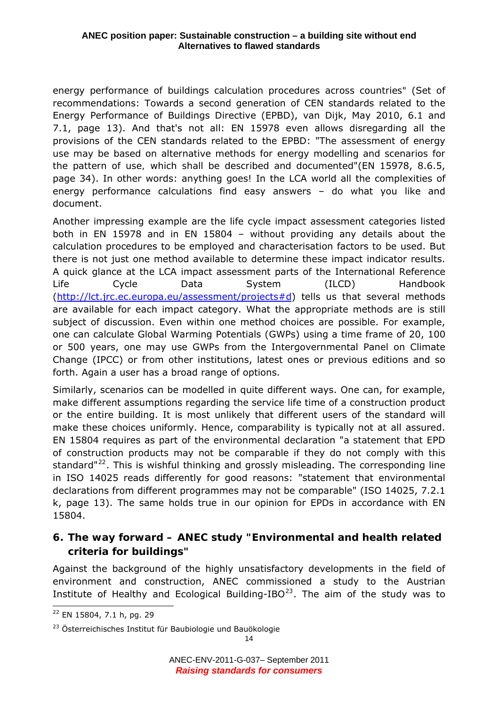<span id="page-14-0"></span>*energy performance of buildings calculation procedures across countries"* (Set of recommendations: Towards a second generation of CEN standards related to the Energy Performance of Buildings Directive (EPBD), van Dijk, May 2010, 6.1 and 7.1, page 13). And that's not all: EN 15978 even allows disregarding all the provisions of the CEN standards related to the EPBD: "*The assessment of energy use may be based on alternative methods for energy modelling and scenarios for the pattern of use, which shall be described and documented*"(EN 15978, 8.6.5, page 34). In other words: anything goes! In the LCA world all the complexities of energy performance calculations find easy answers – do what you like and document.

Another impressing example are the life cycle impact assessment categories listed both in EN 15978 and in EN 15804 – without providing any details about the calculation procedures to be employed and characterisation factors to be used. But there is not just one method available to determine these impact indicator results. A quick glance at the LCA impact assessment parts of the International Reference Life Cycle Data System (ILCD) Handbook ([http://lct.jrc.ec.europa.eu/assessment/projects#d\)](http://lct.jrc.ec.europa.eu/assessment/projects#d) tells us that several methods are available for each impact category. What the appropriate methods are is still subject of discussion. Even within one method choices are possible. For example, one can calculate Global Warming Potentials (GWPs) using a time frame of 20, 100 or 500 years, one may use GWPs from the Intergovernmental Panel on Climate Change (IPCC) or from other institutions, latest ones or previous editions and so forth. Again a user has a broad range of options.

Similarly, scenarios can be modelled in quite different ways. One can, for example, make different assumptions regarding the service life time of a construction product or the entire building. It is most unlikely that different users of the standard will make these choices uniformly. Hence, comparability is typically not at all assured. EN 15804 requires as part of the environmental declaration "*a statement that EPD of construction products may not be comparable if they do not comply with this*  standard<sup>"[22](#page-14-1)</sup>. This is wishful thinking and grossly misleading. The corresponding line in ISO 14025 reads differently for good reasons: "statement that environmental declarations from different programmes may not be comparable" (ISO 14025, 7.2.1 k, page 13). The same holds true in our opinion for EPDs in accordance with EN 15804.

# *6. The way forward – ANEC study "Environmental and health related criteria for buildings"*

Against the background of the highly unsatisfactory developments in the field of environment and construction, ANEC commissioned a study to the Austrian Institute of Healthy and Ecological Building-IBO $^{23}$  $^{23}$  $^{23}$ . The aim of the study was to

<span id="page-14-1"></span> 22 EN 15804, 7.1 h, pg. 29

<span id="page-14-2"></span><sup>&</sup>lt;sup>23</sup> Österreichisches Institut für Baubiologie und Bauökologie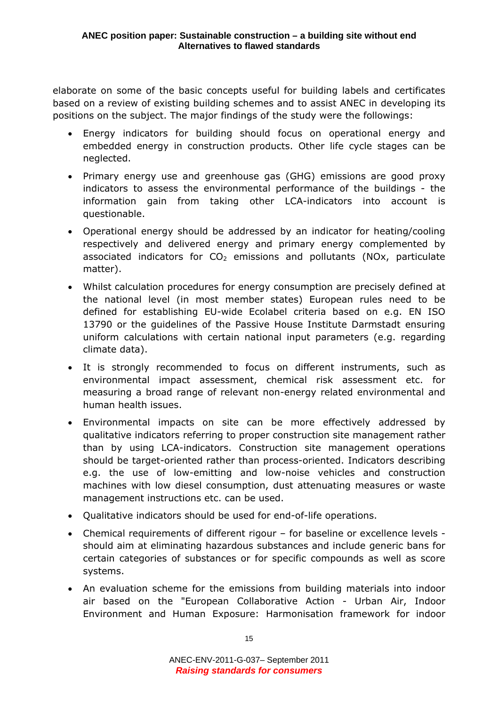elaborate on some of the basic concepts useful for building labels and certificates based on a review of existing building schemes and to assist ANEC in developing its positions on the subject. The major findings of the study were the followings:

- Energy indicators for building should focus on operational energy and embedded energy in construction products. Other life cycle stages can be neglected.
- Primary energy use and greenhouse gas (GHG) emissions are good proxy indicators to assess the environmental performance of the buildings - the information gain from taking other LCA-indicators into account is questionable.
- Operational energy should be addressed by an indicator for heating/cooling respectively and delivered energy and primary energy complemented by associated indicators for  $CO<sub>2</sub>$  emissions and pollutants (NOx, particulate matter).
- Whilst calculation procedures for energy consumption are precisely defined at the national level (in most member states) European rules need to be defined for establishing EU-wide Ecolabel criteria based on e.g. EN ISO 13790 or the guidelines of the Passive House Institute Darmstadt ensuring uniform calculations with certain national input parameters (e.g. regarding climate data).
- It is strongly recommended to focus on different instruments, such as environmental impact assessment, chemical risk assessment etc. for measuring a broad range of relevant non-energy related environmental and human health issues.
- Environmental impacts on site can be more effectively addressed by qualitative indicators referring to proper construction site management rather than by using LCA-indicators. Construction site management operations should be target-oriented rather than process-oriented. Indicators describing e.g. the use of low-emitting and low-noise vehicles and construction machines with low diesel consumption, dust attenuating measures or waste management instructions etc. can be used.
- Qualitative indicators should be used for end-of-life operations.
- Chemical requirements of different rigour for baseline or excellence levels should aim at eliminating hazardous substances and include generic bans for certain categories of substances or for specific compounds as well as score systems.
- An evaluation scheme for the emissions from building materials into indoor air based on the "European Collaborative Action - Urban Air, Indoor Environment and Human Exposure: Harmonisation framework for indoor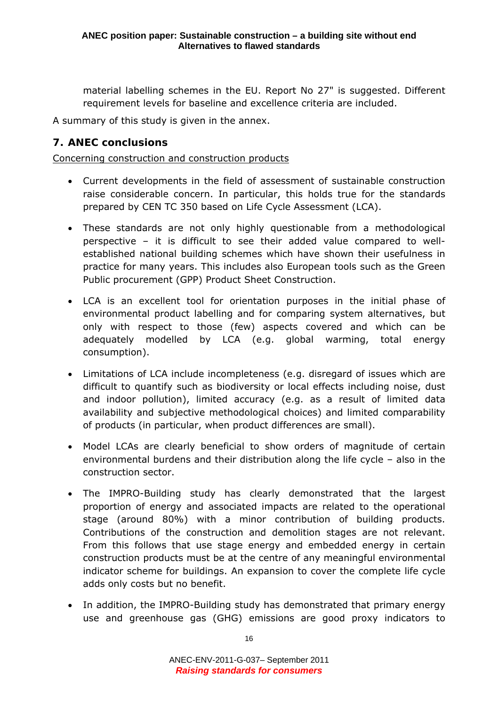<span id="page-16-0"></span>material labelling schemes in the EU. Report No 27" is suggested. Different requirement levels for baseline and excellence criteria are included.

A summary of this study is given in the annex.

# *7. ANEC conclusions*

Concerning construction and construction products

- Current developments in the field of assessment of sustainable construction raise considerable concern. In particular, this holds true for the standards prepared by CEN TC 350 based on Life Cycle Assessment (LCA).
- These standards are not only highly questionable from a methodological perspective – it is difficult to see their added value compared to wellestablished national building schemes which have shown their usefulness in practice for many years. This includes also European tools such as the Green Public procurement (GPP) Product Sheet Construction.
- LCA is an excellent tool for orientation purposes in the initial phase of environmental product labelling and for comparing system alternatives, but only with respect to those (few) aspects covered and which can be adequately modelled by LCA (e.g. global warming, total energy consumption).
- Limitations of LCA include incompleteness (e.g. disregard of issues which are difficult to quantify such as biodiversity or local effects including noise, dust and indoor pollution), limited accuracy (e.g. as a result of limited data availability and subjective methodological choices) and limited comparability of products (in particular, when product differences are small).
- Model LCAs are clearly beneficial to show orders of magnitude of certain environmental burdens and their distribution along the life cycle – also in the construction sector.
- The IMPRO-Building study has clearly demonstrated that the largest proportion of energy and associated impacts are related to the operational stage (around 80%) with a minor contribution of building products. Contributions of the construction and demolition stages are not relevant. From this follows that use stage energy and embedded energy in certain construction products must be at the centre of any meaningful environmental indicator scheme for buildings. An expansion to cover the complete life cycle adds only costs but no benefit.
- In addition, the IMPRO-Building study has demonstrated that primary energy use and greenhouse gas (GHG) emissions are good proxy indicators to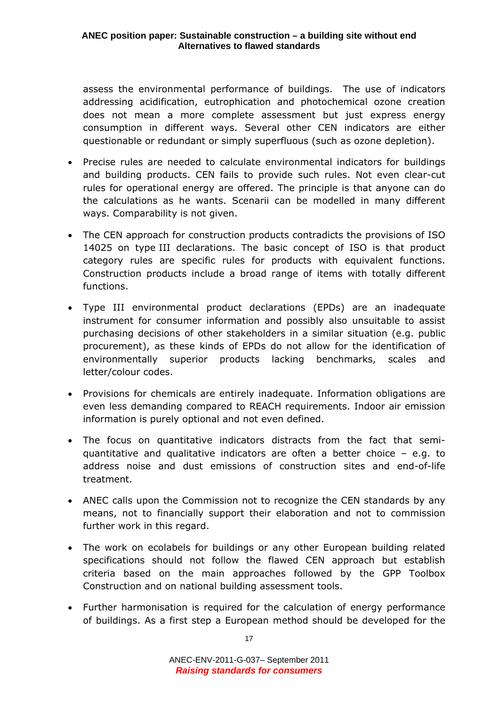assess the environmental performance of buildings. The use of indicators addressing acidification, eutrophication and photochemical ozone creation does not mean a more complete assessment but just express energy consumption in different ways. Several other CEN indicators are either questionable or redundant or simply superfluous (such as ozone depletion).

- Precise rules are needed to calculate environmental indicators for buildings and building products. CEN fails to provide such rules. Not even clear-cut rules for operational energy are offered. The principle is that anyone can do the calculations as he wants. Scenarii can be modelled in many different ways. Comparability is not given.
- The CEN approach for construction products contradicts the provisions of ISO 14025 on type III declarations. The basic concept of ISO is that product category rules are specific rules for products with equivalent functions. Construction products include a broad range of items with totally different functions.
- Type III environmental product declarations (EPDs) are an inadequate instrument for consumer information and possibly also unsuitable to assist purchasing decisions of other stakeholders in a similar situation (e.g. public procurement), as these kinds of EPDs do not allow for the identification of environmentally superior products lacking benchmarks, scales and letter/colour codes.
- Provisions for chemicals are entirely inadequate. Information obligations are even less demanding compared to REACH requirements. Indoor air emission information is purely optional and not even defined.
- The focus on quantitative indicators distracts from the fact that semiquantitative and qualitative indicators are often a better choice – e.g. to address noise and dust emissions of construction sites and end-of-life treatment.
- ANEC calls upon the Commission not to recognize the CEN standards by any means, not to financially support their elaboration and not to commission further work in this regard.
- The work on ecolabels for buildings or any other European building related specifications should not follow the flawed CEN approach but establish criteria based on the main approaches followed by the GPP Toolbox Construction and on national building assessment tools.
- Further harmonisation is required for the calculation of energy performance of buildings. As a first step a European method should be developed for the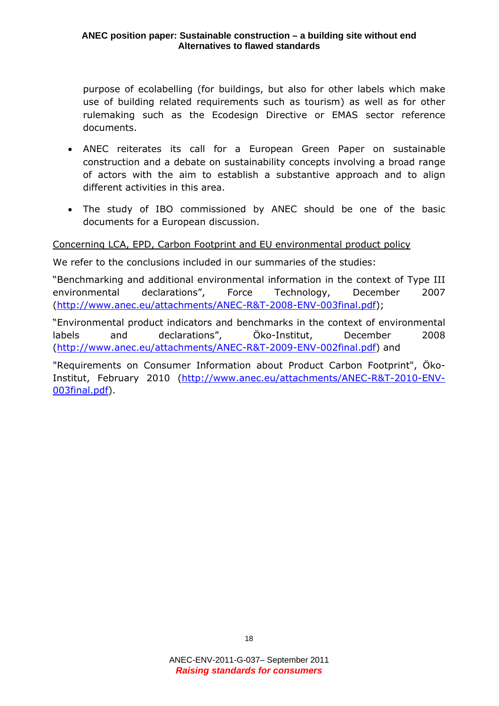purpose of ecolabelling (for buildings, but also for other labels which make use of building related requirements such as tourism) as well as for other rulemaking such as the Ecodesign Directive or EMAS sector reference documents.

- ANEC reiterates its call for a European Green Paper on sustainable construction and a debate on sustainability concepts involving a broad range of actors with the aim to establish a substantive approach and to align different activities in this area.
- The study of IBO commissioned by ANEC should be one of the basic documents for a European discussion.

#### Concerning LCA, EPD, Carbon Footprint and EU environmental product policy

We refer to the conclusions included in our summaries of the studies:

"Benchmarking and additional environmental information in the context of Type III environmental declarations", Force Technology, December 2007 (<http://www.anec.eu/attachments/ANEC-R&T-2008-ENV-003final.pdf>);

"Environmental product indicators and benchmarks in the context of environmental labels and declarations", Öko-Institut, December 2008 (<http://www.anec.eu/attachments/ANEC-R&T-2009-ENV-002final.pdf>) and

"Requirements on Consumer Information about Product Carbon Footprint", Öko-Institut, February 2010 ([http://www.anec.eu/attachments/ANEC-R&T-2010-ENV-](http://www.anec.eu/attachments/ANEC-R&T-2010-ENV-003final.pdf)[003final.pdf](http://www.anec.eu/attachments/ANEC-R&T-2010-ENV-003final.pdf)).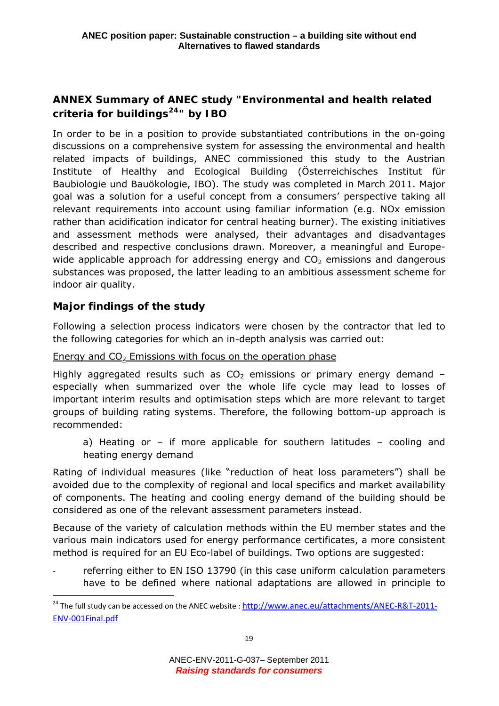# <span id="page-19-0"></span>**ANNEX Summary of ANEC study "Environmental and health related criteria for buildings[24](#page-19-1)" by IBO**

In order to be in a position to provide substantiated contributions in the on-going discussions on a comprehensive system for assessing the environmental and health related impacts of buildings, ANEC commissioned this study to the Austrian Institute of Healthy and Ecological Building (Österreichisches Institut für Baubiologie und Bauökologie, IBO). The study was completed in March 2011. Major goal was a solution for a useful concept from a consumers' perspective taking all relevant requirements into account using familiar information (e.g. NOx emission rather than acidification indicator for central heating burner). The existing initiatives and assessment methods were analysed, their advantages and disadvantages described and respective conclusions drawn. Moreover, a meaningful and Europewide applicable approach for addressing energy and  $CO<sub>2</sub>$  emissions and dangerous substances was proposed, the latter leading to an ambitious assessment scheme for indoor air quality.

# *Major findings of the study*

 $\overline{a}$ 

Following a selection process indicators were chosen by the contractor that led to the following categories for which an in-depth analysis was carried out:

## Energy and  $CO<sub>2</sub>$  Emissions with focus on the operation phase

Highly aggregated results such as  $CO<sub>2</sub>$  emissions or primary energy demand especially when summarized over the whole life cycle may lead to losses of important interim results and optimisation steps which are more relevant to target groups of building rating systems. Therefore, the following bottom-up approach is recommended:

a) Heating or – if more applicable for southern latitudes – cooling and heating energy demand

Rating of individual measures (like "reduction of heat loss parameters") shall be avoided due to the complexity of regional and local specifics and market availability of components. The heating and cooling energy demand of the building should be considered as one of the relevant assessment parameters instead.

Because of the variety of calculation methods within the EU member states and the various main indicators used for energy performance certificates, a more consistent method is required for an EU Eco-label of buildings. Two options are suggested:

referring either to EN ISO 13790 (in this case uniform calculation parameters have to be defined where national adaptations are allowed in principle to

<span id="page-19-1"></span><sup>&</sup>lt;sup>24</sup> The full study can be accessed on the ANEC website : [http://www.anec.eu/attachments/ANEC](http://www.anec.eu/attachments/ANEC-R&T-2011-ENV-001Final.pdf)-R&T-2011-ENV‐[001Final.pdf](http://www.anec.eu/attachments/ANEC-R&T-2011-ENV-001Final.pdf)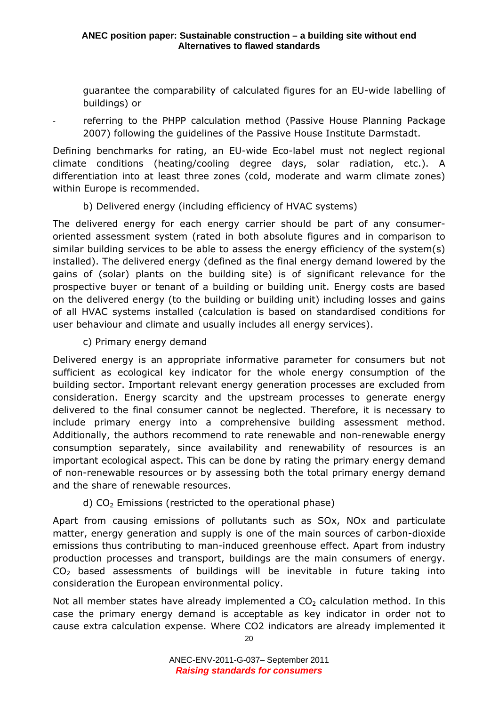guarantee the comparability of calculated figures for an EU-wide labelling of buildings) or

referring to the PHPP calculation method (Passive House Planning Package 2007) following the guidelines of the Passive House Institute Darmstadt.

Defining benchmarks for rating, an EU-wide Eco-label must not neglect regional climate conditions (heating/cooling degree days, solar radiation, etc.). A differentiation into at least three zones (cold, moderate and warm climate zones) within Europe is recommended.

## b) Delivered energy (including efficiency of HVAC systems)

The delivered energy for each energy carrier should be part of any consumeroriented assessment system (rated in both absolute figures and in comparison to similar building services to be able to assess the energy efficiency of the system(s) installed). The delivered energy (defined as the final energy demand lowered by the gains of (solar) plants on the building site) is of significant relevance for the prospective buyer or tenant of a building or building unit. Energy costs are based on the delivered energy (to the building or building unit) including losses and gains of all HVAC systems installed (calculation is based on standardised conditions for user behaviour and climate and usually includes all energy services).

## c) Primary energy demand

Delivered energy is an appropriate informative parameter for consumers but not sufficient as ecological key indicator for the whole energy consumption of the building sector. Important relevant energy generation processes are excluded from consideration. Energy scarcity and the upstream processes to generate energy delivered to the final consumer cannot be neglected. Therefore, it is necessary to include primary energy into a comprehensive building assessment method. Additionally, the authors recommend to rate renewable and non-renewable energy consumption separately, since availability and renewability of resources is an important ecological aspect. This can be done by rating the primary energy demand of non-renewable resources or by assessing both the total primary energy demand and the share of renewable resources.

# d)  $CO<sub>2</sub>$  Emissions (restricted to the operational phase)

Apart from causing emissions of pollutants such as SOx, NOx and particulate matter, energy generation and supply is one of the main sources of carbon-dioxide emissions thus contributing to man-induced greenhouse effect. Apart from industry production processes and transport, buildings are the main consumers of energy.  $CO<sub>2</sub>$  based assessments of buildings will be inevitable in future taking into consideration the European environmental policy.

Not all member states have already implemented a  $CO<sub>2</sub>$  calculation method. In this case the primary energy demand is acceptable as key indicator in order not to cause extra calculation expense. Where CO2 indicators are already implemented it

20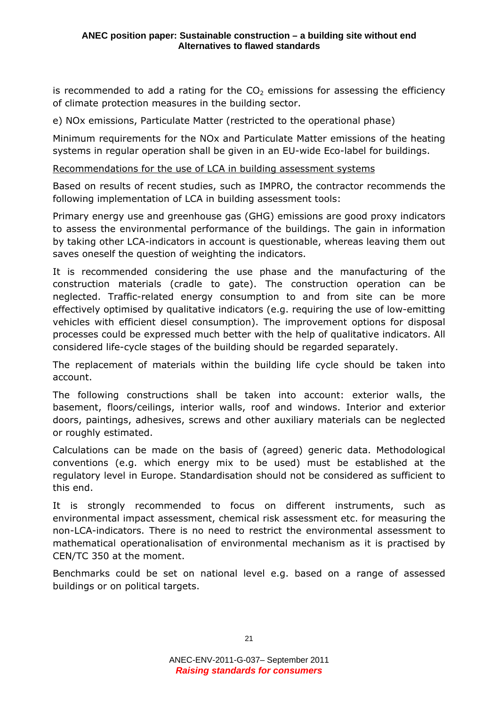is recommended to add a rating for the  $CO<sub>2</sub>$  emissions for assessing the efficiency of climate protection measures in the building sector.

e) NOx emissions, Particulate Matter (restricted to the operational phase)

Minimum requirements for the NOx and Particulate Matter emissions of the heating systems in regular operation shall be given in an EU-wide Eco-label for buildings.

#### Recommendations for the use of LCA in building assessment systems

Based on results of recent studies, such as IMPRO, the contractor recommends the following implementation of LCA in building assessment tools:

Primary energy use and greenhouse gas (GHG) emissions are good proxy indicators to assess the environmental performance of the buildings. The gain in information by taking other LCA-indicators in account is questionable, whereas leaving them out saves oneself the question of weighting the indicators.

It is recommended considering the use phase and the manufacturing of the construction materials (cradle to gate). The construction operation can be neglected. Traffic-related energy consumption to and from site can be more effectively optimised by qualitative indicators (e.g. requiring the use of low-emitting vehicles with efficient diesel consumption). The improvement options for disposal processes could be expressed much better with the help of qualitative indicators. All considered life-cycle stages of the building should be regarded separately.

The replacement of materials within the building life cycle should be taken into account.

The following constructions shall be taken into account: exterior walls, the basement, floors/ceilings, interior walls, roof and windows. Interior and exterior doors, paintings, adhesives, screws and other auxiliary materials can be neglected or roughly estimated.

Calculations can be made on the basis of (agreed) generic data. Methodological conventions (e.g. which energy mix to be used) must be established at the regulatory level in Europe. Standardisation should not be considered as sufficient to this end.

It is strongly recommended to focus on different instruments, such as environmental impact assessment, chemical risk assessment etc. for measuring the non-LCA-indicators. There is no need to restrict the environmental assessment to mathematical operationalisation of environmental mechanism as it is practised by CEN/TC 350 at the moment.

Benchmarks could be set on national level e.g. based on a range of assessed buildings or on political targets.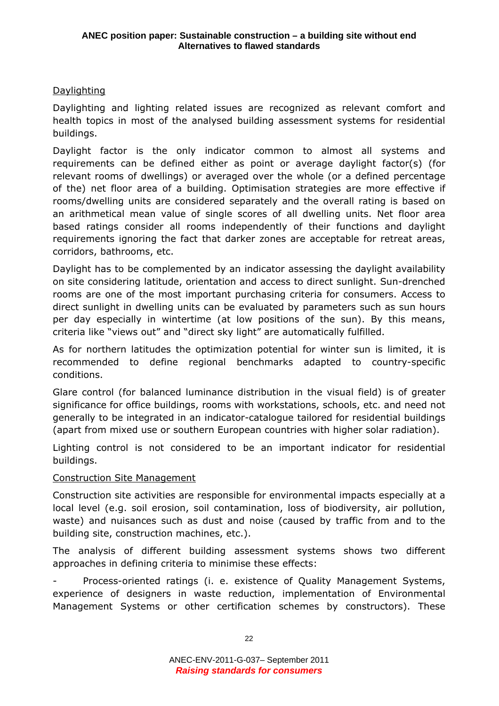## **Daylighting**

Daylighting and lighting related issues are recognized as relevant comfort and health topics in most of the analysed building assessment systems for residential buildings.

Daylight factor is the only indicator common to almost all systems and requirements can be defined either as point or average daylight factor(s) (for relevant rooms of dwellings) or averaged over the whole (or a defined percentage of the) net floor area of a building. Optimisation strategies are more effective if rooms/dwelling units are considered separately and the overall rating is based on an arithmetical mean value of single scores of all dwelling units. Net floor area based ratings consider all rooms independently of their functions and daylight requirements ignoring the fact that darker zones are acceptable for retreat areas, corridors, bathrooms, etc.

Daylight has to be complemented by an indicator assessing the daylight availability on site considering latitude, orientation and access to direct sunlight. Sun-drenched rooms are one of the most important purchasing criteria for consumers. Access to direct sunlight in dwelling units can be evaluated by parameters such as sun hours per day especially in wintertime (at low positions of the sun). By this means, criteria like "views out" and "direct sky light" are automatically fulfilled.

As for northern latitudes the optimization potential for winter sun is limited, it is recommended to define regional benchmarks adapted to country-specific conditions.

Glare control (for balanced luminance distribution in the visual field) is of greater significance for office buildings, rooms with workstations, schools, etc. and need not generally to be integrated in an indicator-catalogue tailored for residential buildings (apart from mixed use or southern European countries with higher solar radiation).

Lighting control is not considered to be an important indicator for residential buildings.

## Construction Site Management

Construction site activities are responsible for environmental impacts especially at a local level (e.g. soil erosion, soil contamination, loss of biodiversity, air pollution, waste) and nuisances such as dust and noise (caused by traffic from and to the building site, construction machines, etc.).

The analysis of different building assessment systems shows two different approaches in defining criteria to minimise these effects:

Process-oriented ratings (i. e. existence of Quality Management Systems, experience of designers in waste reduction, implementation of Environmental Management Systems or other certification schemes by constructors). These